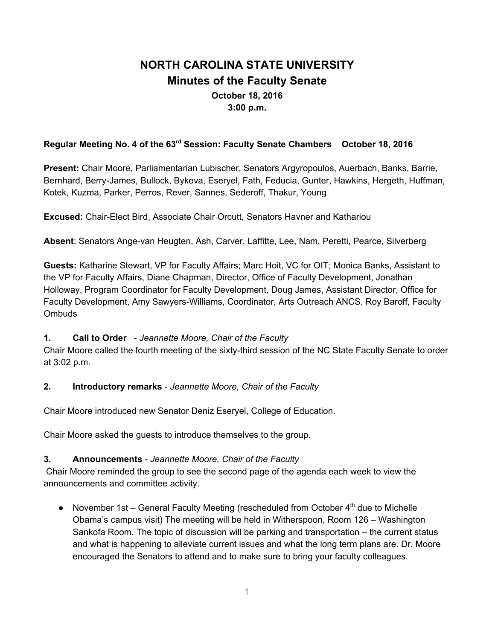# **NORTH CAROLINA STATE UNIVERSITY Minutes of the Faculty Senate October 18, 2016 3:00 p.m.**

## **Regular Meeting No. 4 of the 63 rd Session: Faculty Senate Chambers October 18, 2016**

**Present:** Chair Moore, Parliamentarian Lubischer, Senators Argyropoulos, Auerbach, Banks, Barrie, Bernhard, Berry-James, Bullock, Bykova, Eseryel, Fath, Feducia, Gunter, Hawkins, Hergeth, Huffman, Kotek, Kuzma, Parker, Perros, Rever, Sannes, Sederoff, Thakur, Young

**Excused:** Chair-Elect Bird, Associate Chair Orcutt, Senators Havner and Kathariou

**Absent**: Senators Ange-van Heugten, Ash, Carver, Laffitte, Lee, Nam, Peretti, Pearce, Silverberg

**Guests:** Katharine Stewart, VP for Faculty Affairs; Marc Hoit, VC for OIT; Monica Banks, Assistant to the VP for Faculty Affairs, Diane Chapman, Director, Office of Faculty Development, Jonathan Holloway, Program Coordinator for Faculty Development, Doug James, Assistant Director, Office for Faculty Development, Amy Sawyers-Williams, Coordinator, Arts Outreach ANCS, Roy Baroff, Faculty **Ombuds** 

#### **1. Call to Order** - *Jeannette Moore, Chair of the Faculty*

Chair Moore called the fourth meeting of the sixty-third session of the NC State Faculty Senate to order at 3:02 p.m.

### **2. Introductory remarks** - *Jeannette Moore, Chair of the Faculty*

Chair Moore introduced new Senator Deniz Eseryel, College of Education.

Chair Moore asked the guests to introduce themselves to the group.

### **3. Announcements** - *Jeannette Moore, Chair of the Faculty*

 Chair Moore reminded the group to see the second page of the agenda each week to view the announcements and committee activity.

● November 1st – General Faculty Meeting (rescheduled from October 4<sup>th</sup> due to Michelle Obama's campus visit) The meeting will be held in Witherspoon, Room 126 – Washington Sankofa Room. The topic of discussion will be parking and transportation – the current status and what is happening to alleviate current issues and what the long term plans are. Dr. Moore encouraged the Senators to attend and to make sure to bring your faculty colleagues.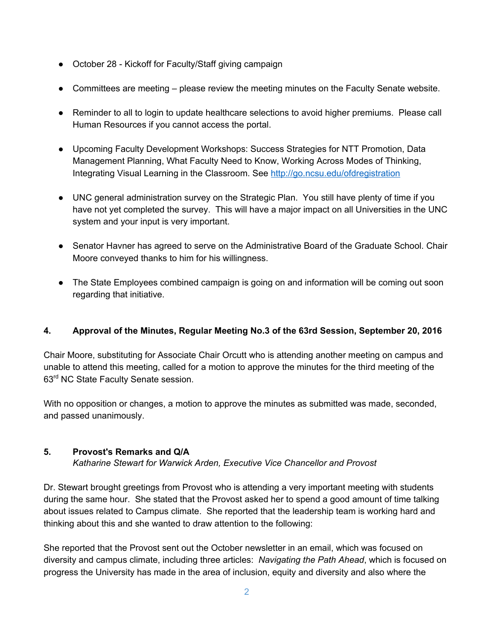- October 28 Kickoff for Faculty/Staff giving campaign
- Committees are meeting please review the meeting minutes on the Faculty Senate website.
- Reminder to all to login to update healthcare selections to avoid higher premiums. Please call Human Resources if you cannot access the portal.
- Upcoming Faculty Development Workshops: Success Strategies for NTT Promotion, Data Management Planning, What Faculty Need to Know, Working Across Modes of Thinking, Integrating Visual Learning in the Classroom. See <http://go.ncsu.edu/ofdregistration>
- UNC general administration survey on the Strategic Plan. You still have plenty of time if you have not yet completed the survey. This will have a major impact on all Universities in the UNC system and your input is very important.
- Senator Havner has agreed to serve on the Administrative Board of the Graduate School. Chair Moore conveyed thanks to him for his willingness.
- The State Employees combined campaign is going on and information will be coming out soon regarding that initiative.

### **4. Approval of the Minutes, Regular Meeting No.3 of the 63rd Session, September 20, 2016**

Chair Moore, substituting for Associate Chair Orcutt who is attending another meeting on campus and unable to attend this meeting, called for a motion to approve the minutes for the third meeting of the 63rd NC State Faculty Senate session.

With no opposition or changes, a motion to approve the minutes as submitted was made, seconded, and passed unanimously.

### **5. Provost's Remarks and Q/A**

*Katharine Stewart for Warwick Arden, Executive Vice Chancellor and Provost*

Dr. Stewart brought greetings from Provost who is attending a very important meeting with students during the same hour. She stated that the Provost asked her to spend a good amount of time talking about issues related to Campus climate. She reported that the leadership team is working hard and thinking about this and she wanted to draw attention to the following:

She reported that the Provost sent out the October newsletter in an email, which was focused on diversity and campus climate, including three articles: *Navigating the Path Ahead*, which is focused on progress the University has made in the area of inclusion, equity and diversity and also where the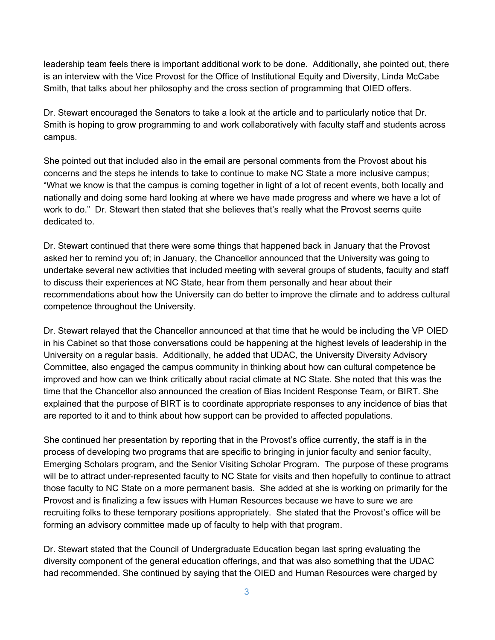leadership team feels there is important additional work to be done. Additionally, she pointed out, there is an interview with the Vice Provost for the Office of Institutional Equity and Diversity, Linda McCabe Smith, that talks about her philosophy and the cross section of programming that OIED offers.

Dr. Stewart encouraged the Senators to take a look at the article and to particularly notice that Dr. Smith is hoping to grow programming to and work collaboratively with faculty staff and students across campus.

She pointed out that included also in the email are personal comments from the Provost about his concerns and the steps he intends to take to continue to make NC State a more inclusive campus; "What we know is that the campus is coming together in light of a lot of recent events, both locally and nationally and doing some hard looking at where we have made progress and where we have a lot of work to do." Dr. Stewart then stated that she believes that's really what the Provost seems quite dedicated to.

Dr. Stewart continued that there were some things that happened back in January that the Provost asked her to remind you of; in January, the Chancellor announced that the University was going to undertake several new activities that included meeting with several groups of students, faculty and staff to discuss their experiences at NC State, hear from them personally and hear about their recommendations about how the University can do better to improve the climate and to address cultural competence throughout the University.

Dr. Stewart relayed that the Chancellor announced at that time that he would be including the VP OIED in his Cabinet so that those conversations could be happening at the highest levels of leadership in the University on a regular basis. Additionally, he added that UDAC, the University Diversity Advisory Committee, also engaged the campus community in thinking about how can cultural competence be improved and how can we think critically about racial climate at NC State. She noted that this was the time that the Chancellor also announced the creation of Bias Incident Response Team, or BIRT. She explained that the purpose of BIRT is to coordinate appropriate responses to any incidence of bias that are reported to it and to think about how support can be provided to affected populations.

She continued her presentation by reporting that in the Provost's office currently, the staff is in the process of developing two programs that are specific to bringing in junior faculty and senior faculty, Emerging Scholars program, and the Senior Visiting Scholar Program. The purpose of these programs will be to attract under-represented faculty to NC State for visits and then hopefully to continue to attract those faculty to NC State on a more permanent basis. She added at she is working on primarily for the Provost and is finalizing a few issues with Human Resources because we have to sure we are recruiting folks to these temporary positions appropriately. She stated that the Provost's office will be forming an advisory committee made up of faculty to help with that program.

Dr. Stewart stated that the Council of Undergraduate Education began last spring evaluating the diversity component of the general education offerings, and that was also something that the UDAC had recommended. She continued by saying that the OIED and Human Resources were charged by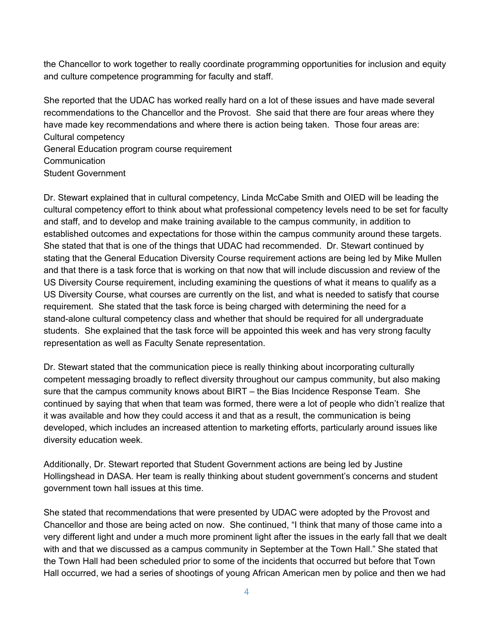the Chancellor to work together to really coordinate programming opportunities for inclusion and equity and culture competence programming for faculty and staff.

She reported that the UDAC has worked really hard on a lot of these issues and have made several recommendations to the Chancellor and the Provost. She said that there are four areas where they have made key recommendations and where there is action being taken. Those four areas are: Cultural competency

General Education program course requirement Communication Student Government

Dr. Stewart explained that in cultural competency, Linda McCabe Smith and OIED will be leading the cultural competency effort to think about what professional competency levels need to be set for faculty and staff, and to develop and make training available to the campus community, in addition to established outcomes and expectations for those within the campus community around these targets. She stated that that is one of the things that UDAC had recommended. Dr. Stewart continued by stating that the General Education Diversity Course requirement actions are being led by Mike Mullen and that there is a task force that is working on that now that will include discussion and review of the US Diversity Course requirement, including examining the questions of what it means to qualify as a US Diversity Course, what courses are currently on the list, and what is needed to satisfy that course requirement. She stated that the task force is being charged with determining the need for a stand-alone cultural competency class and whether that should be required for all undergraduate students. She explained that the task force will be appointed this week and has very strong faculty representation as well as Faculty Senate representation.

Dr. Stewart stated that the communication piece is really thinking about incorporating culturally competent messaging broadly to reflect diversity throughout our campus community, but also making sure that the campus community knows about BIRT – the Bias Incidence Response Team. She continued by saying that when that team was formed, there were a lot of people who didn't realize that it was available and how they could access it and that as a result, the communication is being developed, which includes an increased attention to marketing efforts, particularly around issues like diversity education week.

Additionally, Dr. Stewart reported that Student Government actions are being led by Justine Hollingshead in DASA. Her team is really thinking about student government's concerns and student government town hall issues at this time.

She stated that recommendations that were presented by UDAC were adopted by the Provost and Chancellor and those are being acted on now. She continued, "I think that many of those came into a very different light and under a much more prominent light after the issues in the early fall that we dealt with and that we discussed as a campus community in September at the Town Hall." She stated that the Town Hall had been scheduled prior to some of the incidents that occurred but before that Town Hall occurred, we had a series of shootings of young African American men by police and then we had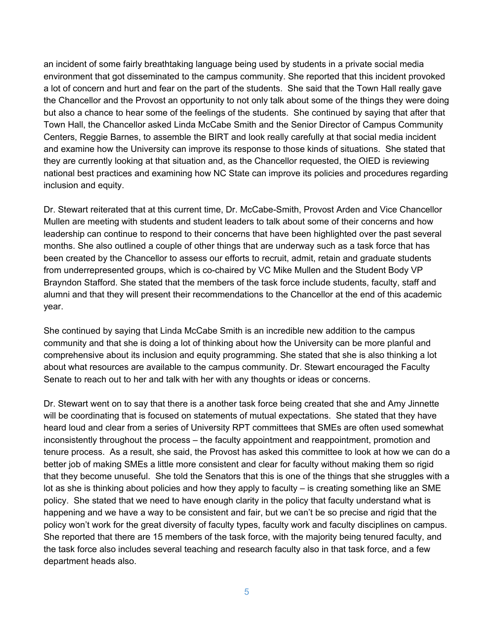an incident of some fairly breathtaking language being used by students in a private social media environment that got disseminated to the campus community. She reported that this incident provoked a lot of concern and hurt and fear on the part of the students. She said that the Town Hall really gave the Chancellor and the Provost an opportunity to not only talk about some of the things they were doing but also a chance to hear some of the feelings of the students. She continued by saying that after that Town Hall, the Chancellor asked Linda McCabe Smith and the Senior Director of Campus Community Centers, Reggie Barnes, to assemble the BIRT and look really carefully at that social media incident and examine how the University can improve its response to those kinds of situations. She stated that they are currently looking at that situation and, as the Chancellor requested, the OIED is reviewing national best practices and examining how NC State can improve its policies and procedures regarding inclusion and equity.

Dr. Stewart reiterated that at this current time, Dr. McCabe-Smith, Provost Arden and Vice Chancellor Mullen are meeting with students and student leaders to talk about some of their concerns and how leadership can continue to respond to their concerns that have been highlighted over the past several months. She also outlined a couple of other things that are underway such as a task force that has been created by the Chancellor to assess our efforts to recruit, admit, retain and graduate students from underrepresented groups, which is co-chaired by VC Mike Mullen and the Student Body VP Brayndon Stafford. She stated that the members of the task force include students, faculty, staff and alumni and that they will present their recommendations to the Chancellor at the end of this academic year.

She continued by saying that Linda McCabe Smith is an incredible new addition to the campus community and that she is doing a lot of thinking about how the University can be more planful and comprehensive about its inclusion and equity programming. She stated that she is also thinking a lot about what resources are available to the campus community. Dr. Stewart encouraged the Faculty Senate to reach out to her and talk with her with any thoughts or ideas or concerns.

Dr. Stewart went on to say that there is a another task force being created that she and Amy Jinnette will be coordinating that is focused on statements of mutual expectations. She stated that they have heard loud and clear from a series of University RPT committees that SMEs are often used somewhat inconsistently throughout the process – the faculty appointment and reappointment, promotion and tenure process. As a result, she said, the Provost has asked this committee to look at how we can do a better job of making SMEs a little more consistent and clear for faculty without making them so rigid that they become unuseful. She told the Senators that this is one of the things that she struggles with a lot as she is thinking about policies and how they apply to faculty – is creating something like an SME policy. She stated that we need to have enough clarity in the policy that faculty understand what is happening and we have a way to be consistent and fair, but we can't be so precise and rigid that the policy won't work for the great diversity of faculty types, faculty work and faculty disciplines on campus. She reported that there are 15 members of the task force, with the majority being tenured faculty, and the task force also includes several teaching and research faculty also in that task force, and a few department heads also.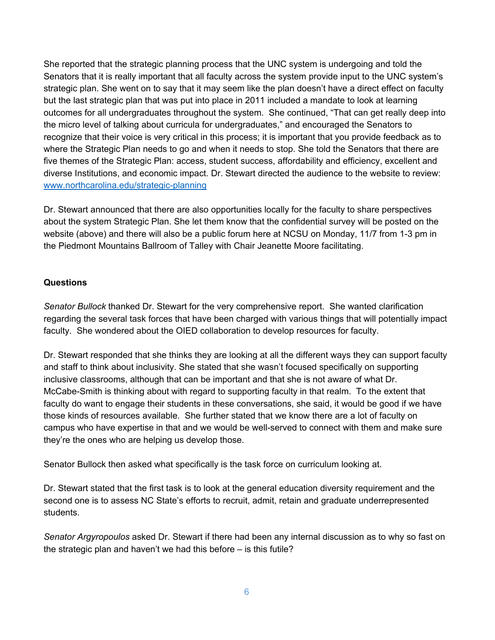She reported that the strategic planning process that the UNC system is undergoing and told the Senators that it is really important that all faculty across the system provide input to the UNC system's strategic plan. She went on to say that it may seem like the plan doesn't have a direct effect on faculty but the last strategic plan that was put into place in 2011 included a mandate to look at learning outcomes for all undergraduates throughout the system. She continued, "That can get really deep into the micro level of talking about curricula for undergraduates," and encouraged the Senators to recognize that their voice is very critical in this process; it is important that you provide feedback as to where the Strategic Plan needs to go and when it needs to stop. She told the Senators that there are five themes of the Strategic Plan: access, student success, affordability and efficiency, excellent and diverse Institutions, and economic impact. Dr. Stewart directed the audience to the website to review: [www.northcarolina.edu/strategic-planning](http://www.northcarolina.edu/strategic-planning)

Dr. Stewart announced that there are also opportunities locally for the faculty to share perspectives about the system Strategic Plan. She let them know that the confidential survey will be posted on the website (above) and there will also be a public forum here at NCSU on Monday, 11/7 from 1-3 pm in the Piedmont Mountains Ballroom of Talley with Chair Jeanette Moore facilitating.

### **Questions**

*Senator Bullock* thanked Dr. Stewart for the very comprehensive report. She wanted clarification regarding the several task forces that have been charged with various things that will potentially impact faculty. She wondered about the OIED collaboration to develop resources for faculty.

Dr. Stewart responded that she thinks they are looking at all the different ways they can support faculty and staff to think about inclusivity. She stated that she wasn't focused specifically on supporting inclusive classrooms, although that can be important and that she is not aware of what Dr. McCabe-Smith is thinking about with regard to supporting faculty in that realm. To the extent that faculty do want to engage their students in these conversations, she said, it would be good if we have those kinds of resources available. She further stated that we know there are a lot of faculty on campus who have expertise in that and we would be well-served to connect with them and make sure they're the ones who are helping us develop those.

Senator Bullock then asked what specifically is the task force on curriculum looking at.

Dr. Stewart stated that the first task is to look at the general education diversity requirement and the second one is to assess NC State's efforts to recruit, admit, retain and graduate underrepresented students.

*Senator Argyropoulos* asked Dr. Stewart if there had been any internal discussion as to why so fast on the strategic plan and haven't we had this before – is this futile?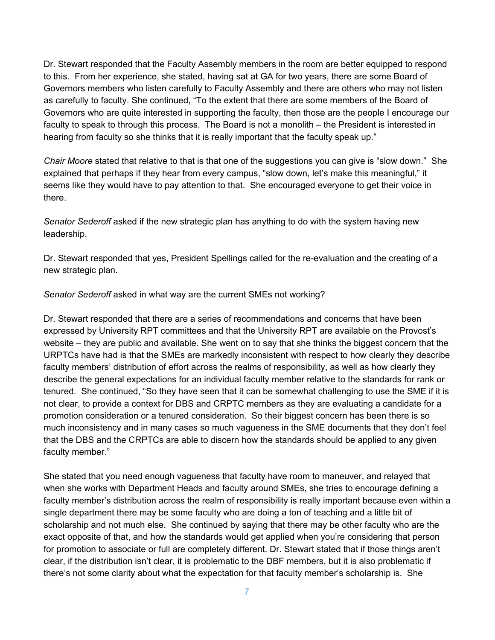Dr. Stewart responded that the Faculty Assembly members in the room are better equipped to respond to this. From her experience, she stated, having sat at GA for two years, there are some Board of Governors members who listen carefully to Faculty Assembly and there are others who may not listen as carefully to faculty. She continued, "To the extent that there are some members of the Board of Governors who are quite interested in supporting the faculty, then those are the people I encourage our faculty to speak to through this process. The Board is not a monolith – the President is interested in hearing from faculty so she thinks that it is really important that the faculty speak up."

*Chair Moore* stated that relative to that is that one of the suggestions you can give is "slow down." She explained that perhaps if they hear from every campus, "slow down, let's make this meaningful," it seems like they would have to pay attention to that. She encouraged everyone to get their voice in there.

*Senator Sederoff* asked if the new strategic plan has anything to do with the system having new leadership.

Dr. Stewart responded that yes, President Spellings called for the re-evaluation and the creating of a new strategic plan.

*Senator Sederoff* asked in what way are the current SMEs not working?

Dr. Stewart responded that there are a series of recommendations and concerns that have been expressed by University RPT committees and that the University RPT are available on the Provost's website – they are public and available. She went on to say that she thinks the biggest concern that the URPTCs have had is that the SMEs are markedly inconsistent with respect to how clearly they describe faculty members' distribution of effort across the realms of responsibility, as well as how clearly they describe the general expectations for an individual faculty member relative to the standards for rank or tenured. She continued, "So they have seen that it can be somewhat challenging to use the SME if it is not clear, to provide a context for DBS and CRPTC members as they are evaluating a candidate for a promotion consideration or a tenured consideration. So their biggest concern has been there is so much inconsistency and in many cases so much vagueness in the SME documents that they don't feel that the DBS and the CRPTCs are able to discern how the standards should be applied to any given faculty member."

She stated that you need enough vagueness that faculty have room to maneuver, and relayed that when she works with Department Heads and faculty around SMEs, she tries to encourage defining a faculty member's distribution across the realm of responsibility is really important because even within a single department there may be some faculty who are doing a ton of teaching and a little bit of scholarship and not much else. She continued by saying that there may be other faculty who are the exact opposite of that, and how the standards would get applied when you're considering that person for promotion to associate or full are completely different. Dr. Stewart stated that if those things aren't clear, if the distribution isn't clear, it is problematic to the DBF members, but it is also problematic if there's not some clarity about what the expectation for that faculty member's scholarship is. She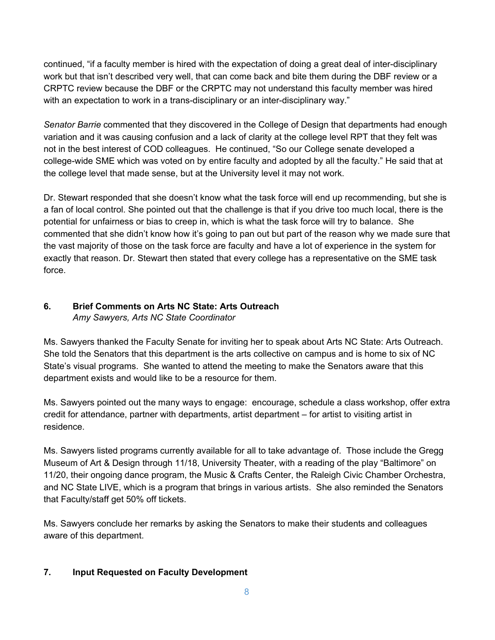continued, "if a faculty member is hired with the expectation of doing a great deal of inter-disciplinary work but that isn't described very well, that can come back and bite them during the DBF review or a CRPTC review because the DBF or the CRPTC may not understand this faculty member was hired with an expectation to work in a trans-disciplinary or an inter-disciplinary way."

*Senator Barrie* commented that they discovered in the College of Design that departments had enough variation and it was causing confusion and a lack of clarity at the college level RPT that they felt was not in the best interest of COD colleagues. He continued, "So our College senate developed a college-wide SME which was voted on by entire faculty and adopted by all the faculty." He said that at the college level that made sense, but at the University level it may not work.

Dr. Stewart responded that she doesn't know what the task force will end up recommending, but she is a fan of local control. She pointed out that the challenge is that if you drive too much local, there is the potential for unfairness or bias to creep in, which is what the task force will try to balance. She commented that she didn't know how it's going to pan out but part of the reason why we made sure that the vast majority of those on the task force are faculty and have a lot of experience in the system for exactly that reason. Dr. Stewart then stated that every college has a representative on the SME task force.

#### **6. Brief Comments on Arts NC State: Arts Outreach** *Amy Sawyers, Arts NC State Coordinator*

Ms. Sawyers thanked the Faculty Senate for inviting her to speak about Arts NC State: Arts Outreach. She told the Senators that this department is the arts collective on campus and is home to six of NC State's visual programs. She wanted to attend the meeting to make the Senators aware that this department exists and would like to be a resource for them.

Ms. Sawyers pointed out the many ways to engage: encourage, schedule a class workshop, offer extra credit for attendance, partner with departments, artist department – for artist to visiting artist in residence.

Ms. Sawyers listed programs currently available for all to take advantage of. Those include the Gregg Museum of Art & Design through 11/18, University Theater, with a reading of the play "Baltimore" on 11/20, their ongoing dance program, the Music & Crafts Center, the Raleigh Civic Chamber Orchestra, and NC State LIVE, which is a program that brings in various artists. She also reminded the Senators that Faculty/staff get 50% off tickets.

Ms. Sawyers conclude her remarks by asking the Senators to make their students and colleagues aware of this department.

### **7. Input Requested on Faculty Development**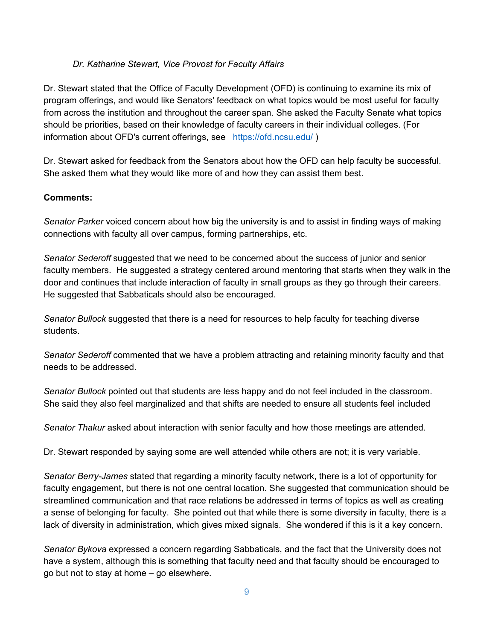### *Dr. Katharine Stewart, Vice Provost for Faculty Affairs*

Dr. Stewart stated that the Office of Faculty Development (OFD) is continuing to examine its mix of program offerings, and would like Senators' feedback on what topics would be most useful for faculty from across the institution and throughout the career span. She asked the Faculty Senate what topics should be priorities, based on their knowledge of faculty careers in their individual colleges. (For information about OFD's current offerings, see <https://ofd.ncsu.edu/>)

Dr. Stewart asked for feedback from the Senators about how the OFD can help faculty be successful. She asked them what they would like more of and how they can assist them best.

### **Comments:**

*Senator Parker* voiced concern about how big the university is and to assist in finding ways of making connections with faculty all over campus, forming partnerships, etc.

*Senator Sederoff* suggested that we need to be concerned about the success of junior and senior faculty members. He suggested a strategy centered around mentoring that starts when they walk in the door and continues that include interaction of faculty in small groups as they go through their careers. He suggested that Sabbaticals should also be encouraged.

*Senator Bullock* suggested that there is a need for resources to help faculty for teaching diverse students.

*Senator Sederoff* commented that we have a problem attracting and retaining minority faculty and that needs to be addressed.

*Senator Bullock* pointed out that students are less happy and do not feel included in the classroom. She said they also feel marginalized and that shifts are needed to ensure all students feel included

*Senator Thakur* asked about interaction with senior faculty and how those meetings are attended.

Dr. Stewart responded by saying some are well attended while others are not; it is very variable.

*Senator Berry-James* stated that regarding a minority faculty network, there is a lot of opportunity for faculty engagement, but there is not one central location. She suggested that communication should be streamlined communication and that race relations be addressed in terms of topics as well as creating a sense of belonging for faculty. She pointed out that while there is some diversity in faculty, there is a lack of diversity in administration, which gives mixed signals. She wondered if this is it a key concern.

*Senator Bykova* expressed a concern regarding Sabbaticals, and the fact that the University does not have a system, although this is something that faculty need and that faculty should be encouraged to go but not to stay at home – go elsewhere.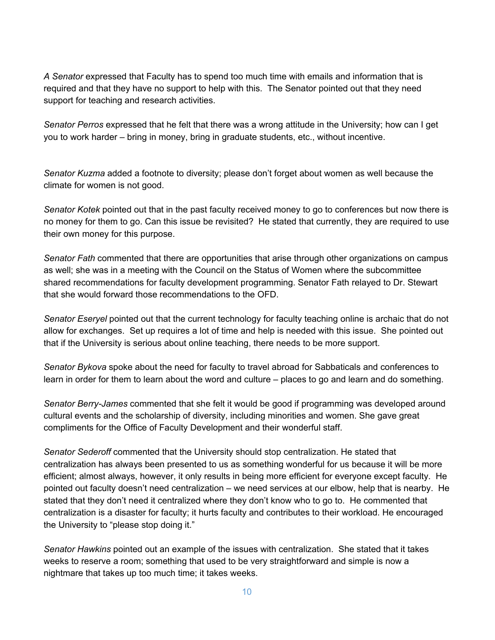*A Senator* expressed that Faculty has to spend too much time with emails and information that is required and that they have no support to help with this. The Senator pointed out that they need support for teaching and research activities.

*Senator Perros* expressed that he felt that there was a wrong attitude in the University; how can I get you to work harder – bring in money, bring in graduate students, etc., without incentive.

*Senator Kuzma* added a footnote to diversity; please don't forget about women as well because the climate for women is not good.

*Senator Kotek* pointed out that in the past faculty received money to go to conferences but now there is no money for them to go. Can this issue be revisited? He stated that currently, they are required to use their own money for this purpose.

*Senator Fath* commented that there are opportunities that arise through other organizations on campus as well; she was in a meeting with the Council on the Status of Women where the subcommittee shared recommendations for faculty development programming. Senator Fath relayed to Dr. Stewart that she would forward those recommendations to the OFD.

*Senator Eseryel* pointed out that the current technology for faculty teaching online is archaic that do not allow for exchanges. Set up requires a lot of time and help is needed with this issue. She pointed out that if the University is serious about online teaching, there needs to be more support.

*Senator Bykova* spoke about the need for faculty to travel abroad for Sabbaticals and conferences to learn in order for them to learn about the word and culture – places to go and learn and do something.

*Senator Berry-James* commented that she felt it would be good if programming was developed around cultural events and the scholarship of diversity, including minorities and women. She gave great compliments for the Office of Faculty Development and their wonderful staff.

*Senator Sederoff* commented that the University should stop centralization. He stated that centralization has always been presented to us as something wonderful for us because it will be more efficient; almost always, however, it only results in being more efficient for everyone except faculty. He pointed out faculty doesn't need centralization – we need services at our elbow, help that is nearby. He stated that they don't need it centralized where they don't know who to go to. He commented that centralization is a disaster for faculty; it hurts faculty and contributes to their workload. He encouraged the University to "please stop doing it."

*Senator Hawkins* pointed out an example of the issues with centralization. She stated that it takes weeks to reserve a room; something that used to be very straightforward and simple is now a nightmare that takes up too much time; it takes weeks.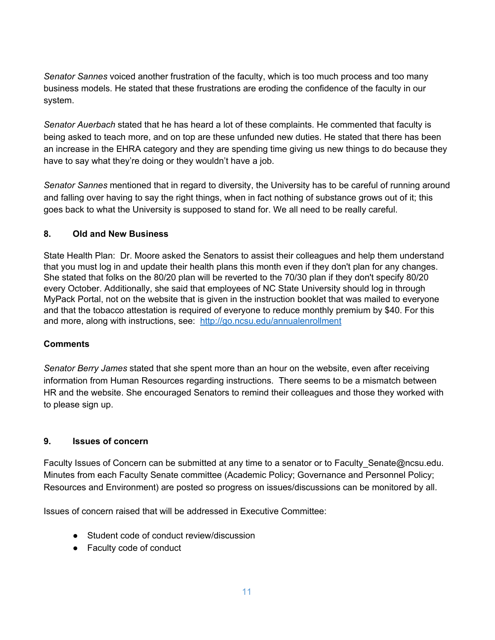*Senator Sannes* voiced another frustration of the faculty, which is too much process and too many business models. He stated that these frustrations are eroding the confidence of the faculty in our system.

*Senator Auerbach* stated that he has heard a lot of these complaints. He commented that faculty is being asked to teach more, and on top are these unfunded new duties. He stated that there has been an increase in the EHRA category and they are spending time giving us new things to do because they have to say what they're doing or they wouldn't have a job.

*Senator Sannes* mentioned that in regard to diversity, the University has to be careful of running around and falling over having to say the right things, when in fact nothing of substance grows out of it; this goes back to what the University is supposed to stand for. We all need to be really careful.

### **8. Old and New Business**

State Health Plan: Dr. Moore asked the Senators to assist their colleagues and help them understand that you must log in and update their health plans this month even if they don't plan for any changes. She stated that folks on the 80/20 plan will be reverted to the 70/30 plan if they don't specify 80/20 every October. Additionally, she said that employees of NC State University should log in through MyPack Portal, not on the website that is given in the instruction booklet that was mailed to everyone and that the tobacco attestation is required of everyone to reduce monthly premium by \$40. For this and more, along with instructions, see: <http://go.ncsu.edu/annualenrollment>

### **Comments**

*Senator Berry James* stated that she spent more than an hour on the website, even after receiving information from Human Resources regarding instructions. There seems to be a mismatch between HR and the website. She encouraged Senators to remind their colleagues and those they worked with to please sign up.

### **9. Issues of concern**

Faculty Issues of Concern can be submitted at any time to a senator or to Faculty Senate@ncsu.edu. Minutes from each Faculty Senate committee (Academic Policy; Governance and Personnel Policy; Resources and Environment) are posted so progress on issues/discussions can be monitored by all.

Issues of concern raised that will be addressed in Executive Committee:

- Student code of conduct review/discussion
- Faculty code of conduct